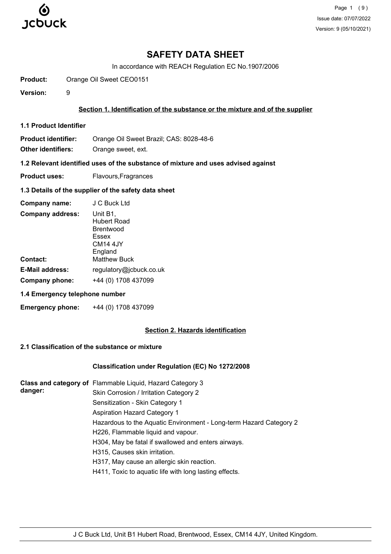

In accordance with REACH Regulation EC No.1907/2006

**Product:** Orange Oil Sweet CEO0151

**Version:** 9

#### **Section 1. Identification of the substance or the mixture and of the supplier**

**1.1 Product Identifier**

**Product identifier:** Orange Oil Sweet Brazil; CAS: 8028-48-6

**Other identifiers:** Orange sweet, ext.

**1.2 Relevant identified uses of the substance of mixture and uses advised against**

**Product uses:** Flavours, Fragrances

#### **1.3 Details of the supplier of the safety data sheet**

| Company name:           | J C Buck Ltd                                                                     |
|-------------------------|----------------------------------------------------------------------------------|
| <b>Company address:</b> | Unit B1,<br>Hubert Road<br>Brentwood<br>Essex<br>CM <sub>14</sub> 4JY<br>England |
| <b>Contact:</b>         | <b>Matthew Buck</b>                                                              |
| <b>E-Mail address:</b>  | regulatory@jcbuck.co.uk                                                          |
| Company phone:          | +44 (0) 1708 437099                                                              |

### **1.4 Emergency telephone number**

**Emergency phone:** +44 (0) 1708 437099

### **Section 2. Hazards identification**

### **2.1 Classification of the substance or mixture**

#### **Classification under Regulation (EC) No 1272/2008**

|         | Class and category of Flammable Liquid, Hazard Category 3          |
|---------|--------------------------------------------------------------------|
| danger: | Skin Corrosion / Irritation Category 2                             |
|         | Sensitization - Skin Category 1                                    |
|         | <b>Aspiration Hazard Category 1</b>                                |
|         | Hazardous to the Aquatic Environment - Long-term Hazard Category 2 |
|         | H226, Flammable liquid and vapour.                                 |
|         | H304, May be fatal if swallowed and enters airways.                |
|         | H315, Causes skin irritation.                                      |
|         | H317, May cause an allergic skin reaction.                         |
|         | H411, Toxic to aquatic life with long lasting effects.             |
|         |                                                                    |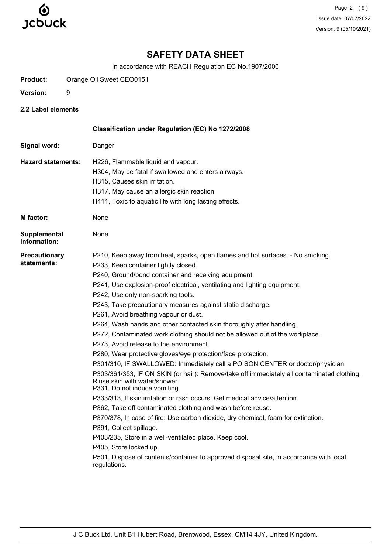

Page 2 (9) Issue date: 07/07/2022 Version: 9 (05/10/2021)

# **SAFETY DATA SHEET**

In accordance with REACH Regulation EC No.1907/2006

**Product:** Orange Oil Sweet CEO0151

- **Version:** 9
- **2.2 Label elements**

|                                     | Classification under Regulation (EC) No 1272/2008                                                                                                            |
|-------------------------------------|--------------------------------------------------------------------------------------------------------------------------------------------------------------|
| Signal word:                        | Danger                                                                                                                                                       |
| <b>Hazard statements:</b>           | H226, Flammable liquid and vapour.                                                                                                                           |
|                                     | H304, May be fatal if swallowed and enters airways.                                                                                                          |
|                                     | H315, Causes skin irritation.                                                                                                                                |
|                                     | H317, May cause an allergic skin reaction.                                                                                                                   |
|                                     | H411, Toxic to aquatic life with long lasting effects.                                                                                                       |
| <b>M</b> factor:                    | None                                                                                                                                                         |
| <b>Supplemental</b><br>Information: | None                                                                                                                                                         |
| <b>Precautionary</b>                | P210, Keep away from heat, sparks, open flames and hot surfaces. - No smoking.                                                                               |
| statements:                         | P233, Keep container tightly closed.                                                                                                                         |
|                                     | P240, Ground/bond container and receiving equipment.                                                                                                         |
|                                     | P241, Use explosion-proof electrical, ventilating and lighting equipment.                                                                                    |
|                                     | P242, Use only non-sparking tools.                                                                                                                           |
|                                     | P243, Take precautionary measures against static discharge.                                                                                                  |
|                                     | P261, Avoid breathing vapour or dust.                                                                                                                        |
|                                     | P264, Wash hands and other contacted skin thoroughly after handling.                                                                                         |
|                                     | P272, Contaminated work clothing should not be allowed out of the workplace.                                                                                 |
|                                     | P273, Avoid release to the environment.                                                                                                                      |
|                                     | P280, Wear protective gloves/eye protection/face protection.                                                                                                 |
|                                     | P301/310, IF SWALLOWED: Immediately call a POISON CENTER or doctor/physician.                                                                                |
|                                     | P303/361/353, IF ON SKIN (or hair): Remove/take off immediately all contaminated clothing.<br>Rinse skin with water/shower.<br>P331, Do not induce vomiting. |
|                                     | P333/313, If skin irritation or rash occurs: Get medical advice/attention.                                                                                   |
|                                     | P362, Take off contaminated clothing and wash before reuse.                                                                                                  |
|                                     | P370/378, In case of fire: Use carbon dioxide, dry chemical, foam for extinction.                                                                            |
|                                     | P391, Collect spillage.                                                                                                                                      |
|                                     | P403/235, Store in a well-ventilated place. Keep cool.                                                                                                       |
|                                     | P405, Store locked up.                                                                                                                                       |
|                                     | P501, Dispose of contents/container to approved disposal site, in accordance with local<br>regulations.                                                      |
|                                     |                                                                                                                                                              |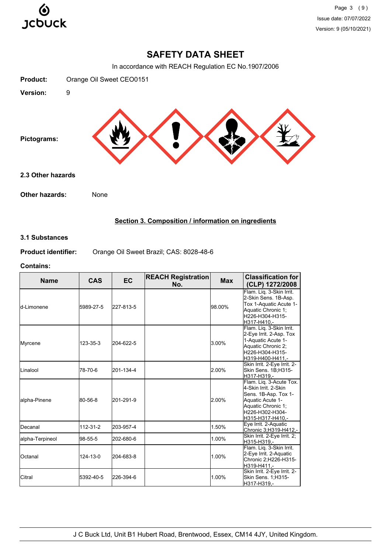

In accordance with REACH Regulation EC No.1907/2006



# **Section 3. Composition / information on ingredients**

### **3.1 Substances**

**Product identifier:** Orange Oil Sweet Brazil; CAS: 8028-48-6

#### **Contains:**

| <b>Name</b>     | <b>CAS</b> | <b>EC</b> | <b>REACH Registration</b><br>No. | <b>Max</b> | <b>Classification for</b><br>(CLP) 1272/2008                                                                                                              |
|-----------------|------------|-----------|----------------------------------|------------|-----------------------------------------------------------------------------------------------------------------------------------------------------------|
| ld-I imonene    | 5989-27-5  | 227-813-5 |                                  | 98.00%     | Flam. Lig. 3-Skin Irrit.<br>2-Skin Sens. 1B-Asp.<br>Tox 1-Aquatic Acute 1-<br>Aquatic Chronic 1;<br>H226-H304-H315-<br>H317-H410.-                        |
| Myrcene         | 123-35-3   | 204-622-5 |                                  | 3.00%      | Flam. Liq. 3-Skin Irrit.<br>2-Eye Irrit. 2-Asp. Tox<br>1-Aquatic Acute 1-<br>Aquatic Chronic 2;<br>H226-H304-H315-<br>H319-H400-H411,-                    |
| Linalool        | 78-70-6    | 201-134-4 |                                  | 2.00%      | Skin Irrit. 2-Eye Irrit. 2-<br>Skin Sens. 1B;H315-<br>H317-H319.-                                                                                         |
| alpha-Pinene    | 80-56-8    | 201-291-9 |                                  | 2.00%      | Flam. Lig. 3-Acute Tox.<br>4-Skin Irrit, 2-Skin<br>Sens. 1B-Asp. Tox 1-<br>Aquatic Acute 1-<br>Aquatic Chronic 1;<br>H226-H302-H304-<br>H315-H317-H410 .- |
| lDecanal        | 112-31-2   | 203-957-4 |                                  | 1.50%      | Eye Irrit. 2-Aquatic<br>Chronic 3;H319-H412,-                                                                                                             |
| alpha-Terpineol | 98-55-5    | 202-680-6 |                                  | 1.00%      | Skin Irrit. 2-Eye Irrit. 2;<br>H315-H319.-                                                                                                                |
| Octanal         | 124-13-0   | 204-683-8 |                                  | 1.00%      | Flam. Liq. 3-Skin Irrit.<br>2-Eye Irrit. 2-Aquatic<br>Chronic 2; H226-H315-<br>H319-H411.-                                                                |
| <b>Citral</b>   | 5392-40-5  | 226-394-6 |                                  | 1.00%      | Skin Irrit. 2-Eye Irrit. 2-<br>Skin Sens. 1;H315-<br>H317-H319,-                                                                                          |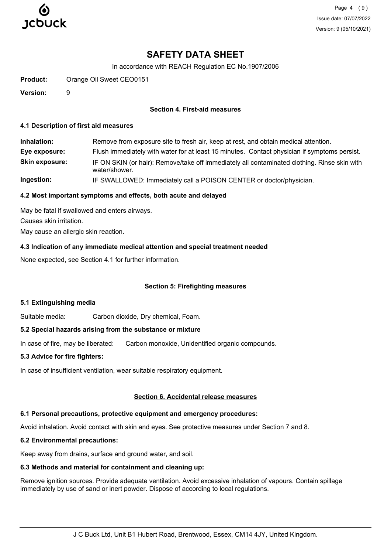

Page 4 (9) Issue date: 07/07/2022 Version: 9 (05/10/2021)

# **SAFETY DATA SHEET**

In accordance with REACH Regulation EC No.1907/2006

**Product:** Orange Oil Sweet CEO0151

**Version:** 9

#### **Section 4. First-aid measures**

#### **4.1 Description of first aid measures**

**Inhalation:** Remove from exposure site to fresh air, keep at rest, and obtain medical attention. **Eye exposure:** Flush immediately with water for at least 15 minutes. Contact physician if symptoms persist. **Skin exposure:** IF ON SKIN (or hair): Remove/take off immediately all contaminated clothing. Rinse skin with water/shower. **Ingestion:** IF SWALLOWED: Immediately call a POISON CENTER or doctor/physician.

### **4.2 Most important symptoms and effects, both acute and delayed**

May be fatal if swallowed and enters airways. Causes skin irritation. May cause an allergic skin reaction.

#### **4.3 Indication of any immediate medical attention and special treatment needed**

None expected, see Section 4.1 for further information.

#### **Section 5: Firefighting measures**

#### **5.1 Extinguishing media**

Suitable media: Carbon dioxide, Dry chemical, Foam.

#### **5.2 Special hazards arising from the substance or mixture**

In case of fire, may be liberated: Carbon monoxide, Unidentified organic compounds.

#### **5.3 Advice for fire fighters:**

In case of insufficient ventilation, wear suitable respiratory equipment.

#### **Section 6. Accidental release measures**

# **6.1 Personal precautions, protective equipment and emergency procedures:**

Avoid inhalation. Avoid contact with skin and eyes. See protective measures under Section 7 and 8.

# **6.2 Environmental precautions:**

Keep away from drains, surface and ground water, and soil.

# **6.3 Methods and material for containment and cleaning up:**

Remove ignition sources. Provide adequate ventilation. Avoid excessive inhalation of vapours. Contain spillage immediately by use of sand or inert powder. Dispose of according to local regulations.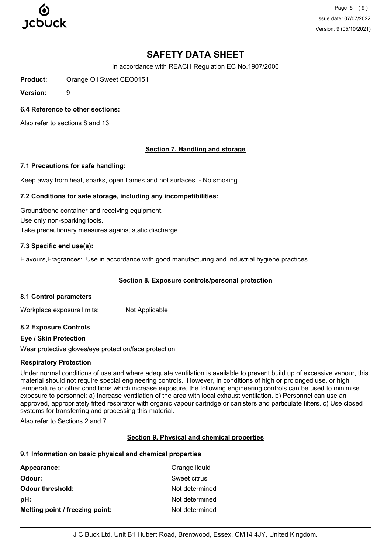

Page 5 (9) Issue date: 07/07/2022 Version: 9 (05/10/2021)

# **SAFETY DATA SHEET**

In accordance with REACH Regulation EC No.1907/2006

**Product:** Orange Oil Sweet CEO0151

**Version:** 9

### **6.4 Reference to other sections:**

Also refer to sections 8 and 13.

# **Section 7. Handling and storage**

#### **7.1 Precautions for safe handling:**

Keep away from heat, sparks, open flames and hot surfaces. - No smoking.

#### **7.2 Conditions for safe storage, including any incompatibilities:**

Ground/bond container and receiving equipment. Use only non-sparking tools. Take precautionary measures against static discharge.

#### **7.3 Specific end use(s):**

Flavours,Fragrances: Use in accordance with good manufacturing and industrial hygiene practices.

### **Section 8. Exposure controls/personal protection**

#### **8.1 Control parameters**

Workplace exposure limits: Not Applicable

#### **8.2 Exposure Controls**

#### **Eye / Skin Protection**

Wear protective gloves/eye protection/face protection

#### **Respiratory Protection**

Under normal conditions of use and where adequate ventilation is available to prevent build up of excessive vapour, this material should not require special engineering controls. However, in conditions of high or prolonged use, or high temperature or other conditions which increase exposure, the following engineering controls can be used to minimise exposure to personnel: a) Increase ventilation of the area with local exhaust ventilation. b) Personnel can use an approved, appropriately fitted respirator with organic vapour cartridge or canisters and particulate filters. c) Use closed systems for transferring and processing this material.

Also refer to Sections 2 and 7.

#### **Section 9. Physical and chemical properties**

#### **9.1 Information on basic physical and chemical properties**

| Appearance:                     | Orange liquid  |
|---------------------------------|----------------|
| Odour:                          | Sweet citrus   |
| <b>Odour threshold:</b>         | Not determined |
| pH:                             | Not determined |
| Melting point / freezing point: | Not determined |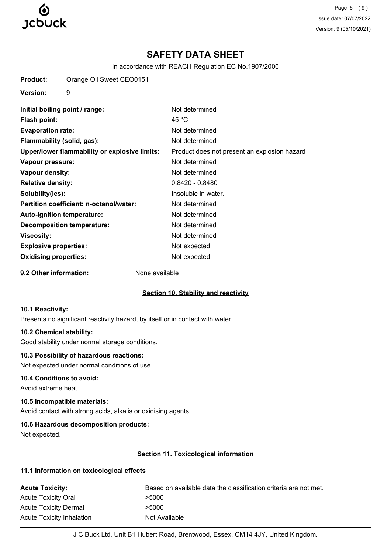

Page 6 (9) Issue date: 07/07/2022 Version: 9 (05/10/2021)

# **SAFETY DATA SHEET**

In accordance with REACH Regulation EC No.1907/2006

**Product:** Orange Oil Sweet CEO0151

**Version:** 9

**Initial boiling point / range:** Not determined **Flash point:** 45 °C **Evaporation rate:** Not determined **Flammability (solid, gas):** Not determined **Upper/lower flammability or explosive limits:** Product does not present an explosion hazard **Vapour pressure:** Not determined **Vapour density:** Not determined **Relative density:** 0.8420 - 0.8480 **Solubility(ies):** Insoluble in water. **Partition coefficient: n-octanol/water:** Not determined Auto-ignition temperature: Not determined **Decomposition temperature:** Not determined **Viscosity:** Not determined **Explosive properties:** Not expected **Oxidising properties:** Not expected

**9.2 Other information:** None available

# **Section 10. Stability and reactivity**

#### **10.1 Reactivity:**

Presents no significant reactivity hazard, by itself or in contact with water.

#### **10.2 Chemical stability:**

Good stability under normal storage conditions.

#### **10.3 Possibility of hazardous reactions:**

Not expected under normal conditions of use.

#### **10.4 Conditions to avoid:**

Avoid extreme heat.

# **10.5 Incompatible materials:**

Avoid contact with strong acids, alkalis or oxidising agents.

# **10.6 Hazardous decomposition products:**

Not expected.

# **Section 11. Toxicological information**

#### **11.1 Information on toxicological effects**

| <b>Acute Toxicity:</b>       | Based on available data the classification criteria are not met. |
|------------------------------|------------------------------------------------------------------|
| <b>Acute Toxicity Oral</b>   | >5000                                                            |
| <b>Acute Toxicity Dermal</b> | >5000                                                            |
| Acute Toxicity Inhalation    | Not Available                                                    |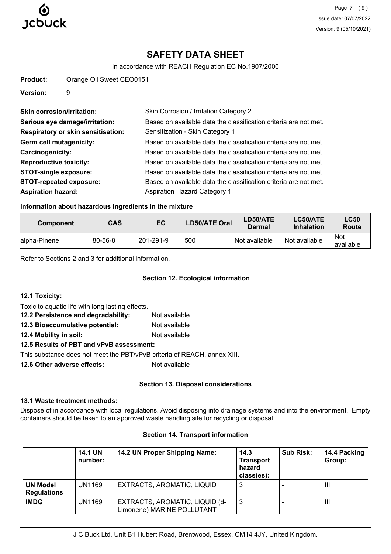

In accordance with REACH Regulation EC No.1907/2006

| Product: | Orange Oil Sweet CEO0151 |
|----------|--------------------------|
|          |                          |

**Version:** 9

| <b>Skin corrosion/irritation:</b>         | Skin Corrosion / Irritation Category 2                           |
|-------------------------------------------|------------------------------------------------------------------|
| Serious eye damage/irritation:            | Based on available data the classification criteria are not met. |
| <b>Respiratory or skin sensitisation:</b> | Sensitization - Skin Category 1                                  |
| <b>Germ cell mutagenicity:</b>            | Based on available data the classification criteria are not met. |
| Carcinogenicity:                          | Based on available data the classification criteria are not met. |
| <b>Reproductive toxicity:</b>             | Based on available data the classification criteria are not met. |
| <b>STOT-single exposure:</b>              | Based on available data the classification criteria are not met. |
| <b>STOT-repeated exposure:</b>            | Based on available data the classification criteria are not met. |
| <b>Aspiration hazard:</b>                 | <b>Aspiration Hazard Category 1</b>                              |

# **Information about hazardous ingredients in the mixture**

| <b>Component</b> | CAS     | EC        | <b>LD50/ATE Oral</b> | LD50/ATE<br>Dermal | <b>LC50/ATE</b><br>Inhalation | <b>LC50</b><br>Route |
|------------------|---------|-----------|----------------------|--------------------|-------------------------------|----------------------|
| lalpha-Pinene    | 80-56-8 | 201-291-9 | 500                  | Not available      | Not available                 | lNot<br>lavailable   |

Refer to Sections 2 and 3 for additional information.

# **Section 12. Ecological information**

| 12.1 Toxicity:                                                           |               |
|--------------------------------------------------------------------------|---------------|
| Toxic to aquatic life with long lasting effects.                         |               |
| 12.2 Persistence and degradability:                                      | Not available |
| 12.3 Bioaccumulative potential:                                          | Not available |
| 12.4 Mobility in soil:                                                   | Not available |
| 12.5 Results of PBT and vPvB assessment:                                 |               |
| This substance does not meet the PBT/vPvB criteria of REACH, annex XIII. |               |
| 12.6 Other adverse effects:                                              | Not available |
|                                                                          |               |

# **Section 13. Disposal considerations**

# **13.1 Waste treatment methods:**

Dispose of in accordance with local regulations. Avoid disposing into drainage systems and into the environment. Empty containers should be taken to an approved waste handling site for recycling or disposal.

|                                       | <b>14.1 UN</b><br>number: | 14.2 UN Proper Shipping Name:                                | 14.3<br><b>Transport</b><br>hazard<br>class(es): | <b>Sub Risk:</b> | 14.4 Packing<br>Group: |
|---------------------------------------|---------------------------|--------------------------------------------------------------|--------------------------------------------------|------------------|------------------------|
| <b>UN Model</b><br><b>Regulations</b> | <b>UN1169</b>             | EXTRACTS, AROMATIC, LIQUID                                   | O                                                |                  | Ш                      |
| <b>IMDG</b>                           | UN1169                    | EXTRACTS, AROMATIC, LIQUID (d-<br>Limonene) MARINE POLLUTANT | 3                                                |                  | Ш                      |

# **Section 14. Transport information**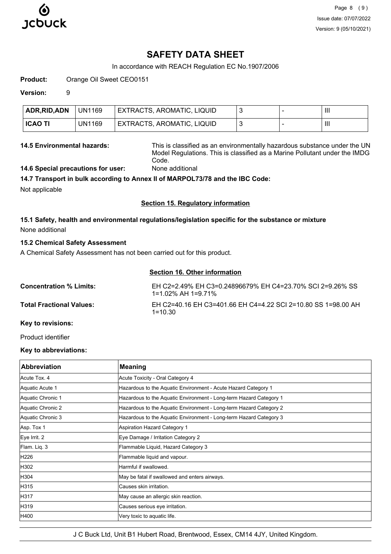

In accordance with REACH Regulation EC No.1907/2006

**Product:** Orange Oil Sweet CEO0151

**Version:** 9

| ADR, RID, ADN  | <b>UN1169</b> | EXTRACTS, AROMATIC, LIQUID |  | Ш |
|----------------|---------------|----------------------------|--|---|
| <b>ICAO TI</b> | UN1169        | EXTRACTS, AROMATIC, LIQUID |  | Ш |

**14.5 Environmental hazards:** This is classified as an environmentally hazardous substance under the UN Model Regulations. This is classified as a Marine Pollutant under the IMDG Code.

**14.6 Special precautions for user:** None additional

# **14.7 Transport in bulk according to Annex II of MARPOL73/78 and the IBC Code:**

Not applicable

#### **Section 15. Regulatory information**

**15.1 Safety, health and environmental regulations/legislation specific for the substance or mixture** None additional

# **15.2 Chemical Safety Assessment**

A Chemical Safety Assessment has not been carried out for this product.

### **Section 16. Other information**

| <b>Concentration % Limits:</b>  | EH C2=2.49% EH C3=0.24896679% EH C4=23.70% SCI 2=9.26% SS<br>1=1.02% AH 1=9.71% |
|---------------------------------|---------------------------------------------------------------------------------|
| <b>Total Fractional Values:</b> | EH C2=40.16 EH C3=401.66 EH C4=4.22 SCI 2=10.80 SS 1=98.00 AH<br>$1 = 10.30$    |

# **Key to revisions:**

Product identifier

# **Key to abbreviations:**

| <b>Abbreviation</b> | <b>Meaning</b>                                                     |
|---------------------|--------------------------------------------------------------------|
| Acute Tox, 4        | Acute Toxicity - Oral Category 4                                   |
| Aquatic Acute 1     | Hazardous to the Aquatic Environment - Acute Hazard Category 1     |
| Aquatic Chronic 1   | Hazardous to the Aquatic Environment - Long-term Hazard Category 1 |
| Aquatic Chronic 2   | Hazardous to the Aquatic Environment - Long-term Hazard Category 2 |
| Aquatic Chronic 3   | Hazardous to the Aquatic Environment - Long-term Hazard Category 3 |
| Asp. Tox 1          | <b>Aspiration Hazard Category 1</b>                                |
| Eye Irrit. 2        | Eye Damage / Irritation Category 2                                 |
| Flam. Liq. 3        | Flammable Liquid, Hazard Category 3                                |
| H226                | Flammable liquid and vapour.                                       |
| H302                | Harmful if swallowed.                                              |
| H304                | May be fatal if swallowed and enters airways.                      |
| H315                | Causes skin irritation.                                            |
| H317                | May cause an allergic skin reaction.                               |
| H319                | Causes serious eye irritation.                                     |
| H400                | Very toxic to aquatic life.                                        |